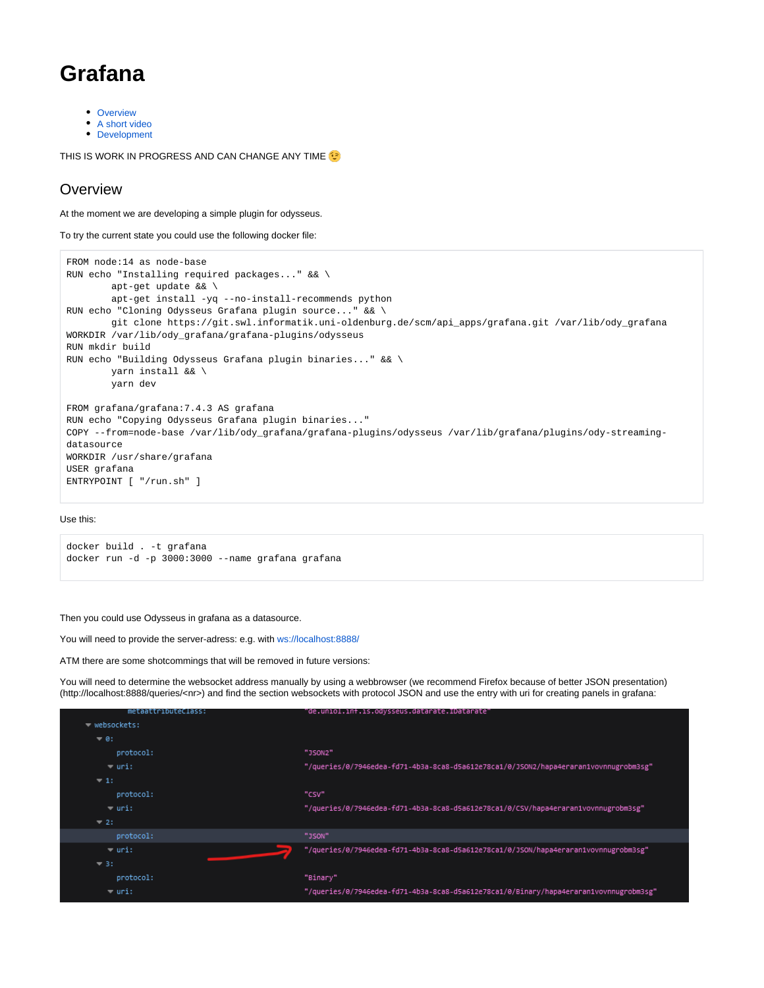# **Grafana**

- [Overview](#page-0-0)
- [A short video](#page-1-0)
- [Development](#page-1-1)

THIS IS WORK IN PROGRESS AND CAN CHANGE ANY TIME  $\odot$ 

## <span id="page-0-0"></span>**Overview**

At the moment we are developing a simple plugin for odysseus.

To try the current state you could use the following docker file:

```
FROM node:14 as node-base
RUN echo "Installing required packages..." && \
        apt-get update && \
         apt-get install -yq --no-install-recommends python
RUN echo "Cloning Odysseus Grafana plugin source..." && \
         git clone https://git.swl.informatik.uni-oldenburg.de/scm/api_apps/grafana.git /var/lib/ody_grafana
WORKDIR /var/lib/ody_grafana/grafana-plugins/odysseus
RUN mkdir build
RUN echo "Building Odysseus Grafana plugin binaries..." && \
        yarn install && \
        yarn dev
FROM grafana/grafana:7.4.3 AS grafana
RUN echo "Copying Odysseus Grafana plugin binaries..."
COPY --from=node-base /var/lib/ody_grafana/grafana-plugins/odysseus /var/lib/grafana/plugins/ody-streaming-
datasource
WORKDIR /usr/share/grafana
USER grafana
ENTRYPOINT [ "/run.sh" ]
```
### Use this:

```
docker build . -t grafana
docker run -d -p 3000:3000 --name grafana grafana
```
#### Then you could use Odysseus in grafana as a datasource.

You will need to provide the server-adress: e.g. with<ws://localhost:8888/>

ATM there are some shotcommings that will be removed in future versions:

You will need to determine the websocket address manually by using a webbrowser (we recommend Firefox because of better JSON presentation) (http://localhost:8888/queries/<nr>) and find the section websockets with protocol JSON and use the entry with uri for creating panels in grafana:

| metaattributeClass:           | "de.uniol.int.is.odysseus.datarate.IDatarate"                                         |
|-------------------------------|---------------------------------------------------------------------------------------|
| $=$ websockets:               |                                                                                       |
| $\overline{9}$ 8:             |                                                                                       |
| protocol:                     | "JSON2"                                                                               |
| $=$ uri:                      | "/queries/0/7946edea-fd71-4b3a-8ca8-d5a612e78ca1/0/JSON2/hapa4eraran1vovnnugrobm3sg"  |
| $-1$ :                        |                                                                                       |
| protocol:                     | "CSV"                                                                                 |
| $\overline{\phantom{a}}$ uri: | "/queries/0/7946edea-fd71-4b3a-8ca8-d5a612e78ca1/0/CSV/hapa4eraran1vovnnugrobm3sg"    |
| $\overline{2}$ :              |                                                                                       |
| protocol:                     | "JSON"                                                                                |
| $=$ uri:                      | "/queries/0/7946edea-fd71-4b3a-8ca8-d5a612e78ca1/0/JSON/hapa4eraran1vovnnugrobm3sg"   |
| $-3:$                         |                                                                                       |
| protocol:                     | "Binary"                                                                              |
| $=$ uri:                      | "/queries/0/7946edea-fd71-4b3a-8ca8-d5a612e78ca1/0/Binary/hapa4eraran1vovnnugrobm3sg" |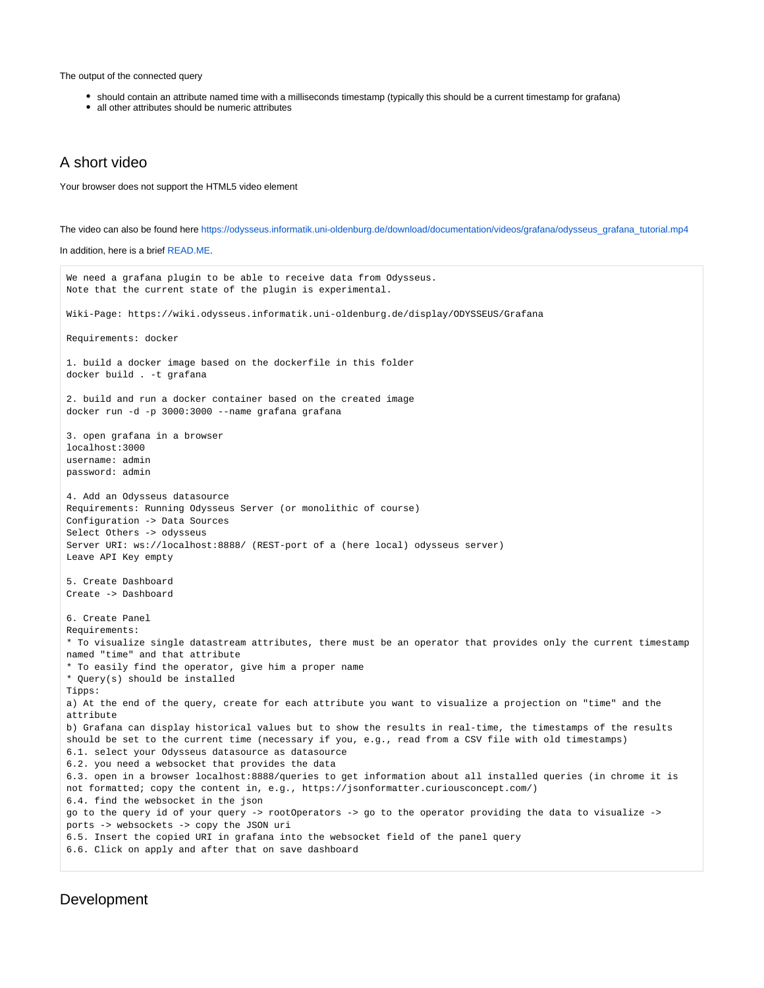The output of the connected query

- should contain an attribute named time with a milliseconds timestamp (typically this should be a current timestamp for grafana)
- all other attributes should be numeric attributes

## <span id="page-1-0"></span>A short video

Your browser does not support the HTML5 video element

The video can also be found here [https://odysseus.informatik.uni-oldenburg.de/download/documentation/videos/grafana/odysseus\\_grafana\\_tutorial.mp4](https://odysseus.informatik.uni-oldenburg.de/download/documentation/videos/grafana/odysseus_grafana_tutorial.mp4)

In addition, here is a brief [READ.ME.](https://wiki.odysseus.informatik.uni-oldenburg.de/download/attachments/87195650/READ.ME?version=1&modificationDate=1643105292000&api=v2)

```
We need a grafana plugin to be able to receive data from Odysseus.
Note that the current state of the plugin is experimental.
Wiki-Page: https://wiki.odysseus.informatik.uni-oldenburg.de/display/ODYSSEUS/Grafana
Requirements: docker
1. build a docker image based on the dockerfile in this folder
docker build . -t grafana
2. build and run a docker container based on the created image
docker run -d -p 3000:3000 --name grafana grafana
3. open grafana in a browser
localhost:3000
username: admin
password: admin
4. Add an Odysseus datasource
Requirements: Running Odysseus Server (or monolithic of course)
Configuration -> Data Sources
Select Others -> odysseus
Server URI: ws://localhost:8888/ (REST-port of a (here local) odysseus server)
Leave API Key empty
5. Create Dashboard
Create -> Dashboard
6. Create Panel
Requirements:
* To visualize single datastream attributes, there must be an operator that provides only the current timestamp 
named "time" and that attribute
* To easily find the operator, give him a proper name
* Query(s) should be installed
Tipps:
a) At the end of the query, create for each attribute you want to visualize a projection on "time" and the 
attribute
b) Grafana can display historical values but to show the results in real-time, the timestamps of the results 
should be set to the current time (necessary if you, e.g., read from a CSV file with old timestamps)
6.1. select your Odysseus datasource as datasource
6.2. you need a websocket that provides the data
6.3. open in a browser localhost:8888/queries to get information about all installed queries (in chrome it is 
not formatted; copy the content in, e.g., https://jsonformatter.curiousconcept.com/)
6.4. find the websocket in the json
go to the query id of your query -> rootOperators -> go to the operator providing the data to visualize -> 
ports -> websockets -> copy the JSON uri
6.5. Insert the copied URI in grafana into the websocket field of the panel query
6.6. Click on apply and after that on save dashboard
```
## <span id="page-1-1"></span>Development